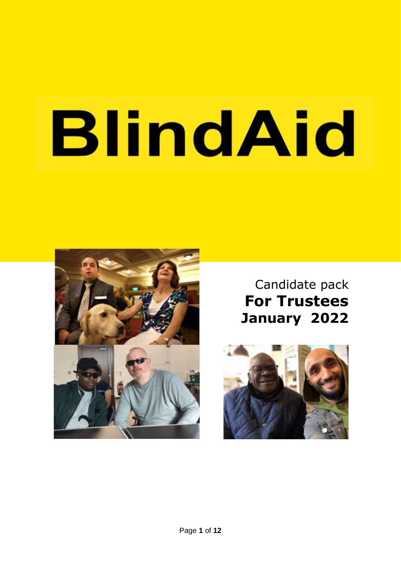# **BlindAid**



## Candidate pack **For Trustees January 2022**

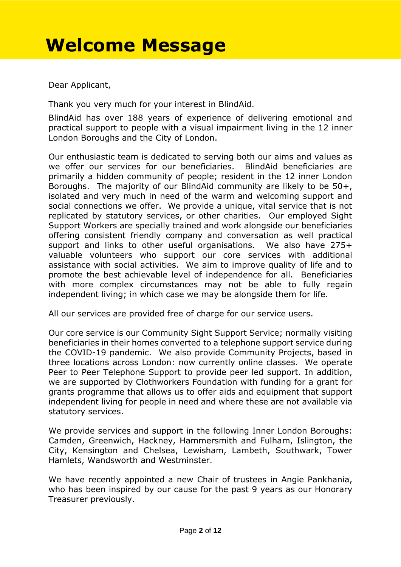# **Welcome Message**

Dear Applicant,

Thank you very much for your interest in BlindAid.

BlindAid has over 188 years of experience of delivering emotional and practical support to people with a visual impairment living in the 12 inner London Boroughs and the City of London.

Our enthusiastic team is dedicated to serving both our aims and values as we offer our services for our beneficiaries. BlindAid beneficiaries are primarily a hidden community of people; resident in the 12 inner London Boroughs. The majority of our BlindAid community are likely to be 50+, isolated and very much in need of the warm and welcoming support and social connections we offer. We provide a unique, vital service that is not replicated by statutory services, or other charities. Our employed Sight Support Workers are specially trained and work alongside our beneficiaries offering consistent friendly company and conversation as well practical support and links to other useful organisations. We also have 275+ valuable volunteers who support our core services with additional assistance with social activities. We aim to improve quality of life and to promote the best achievable level of independence for all. Beneficiaries with more complex circumstances may not be able to fully regain independent living; in which case we may be alongside them for life.

All our services are provided free of charge for our service users.

Our core service is our Community Sight Support Service; normally visiting beneficiaries in their homes converted to a telephone support service during the COVID-19 pandemic. We also provide Community Projects, based in three locations across London: now currently online classes. We operate Peer to Peer Telephone Support to provide peer led support. In addition, we are supported by Clothworkers Foundation with funding for a grant for grants programme that allows us to offer aids and equipment that support independent living for people in need and where these are not available via statutory services.

We provide services and support in the following Inner London Boroughs: Camden, Greenwich, Hackney, Hammersmith and Fulham, Islington, the City, Kensington and Chelsea, Lewisham, Lambeth, Southwark, Tower Hamlets, Wandsworth and Westminster.

We have recently appointed a new Chair of trustees in Angie Pankhania, who has been inspired by our cause for the past 9 years as our Honorary Treasurer previously.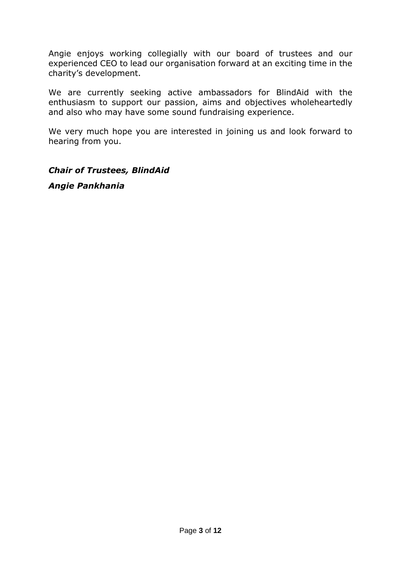Angie enjoys working collegially with our board of trustees and our experienced CEO to lead our organisation forward at an exciting time in the charity's development.

We are currently seeking active ambassadors for BlindAid with the enthusiasm to support our passion, aims and objectives wholeheartedly and also who may have some sound fundraising experience.

We very much hope you are interested in joining us and look forward to hearing from you.

*Chair of Trustees, BlindAid*

*Angie Pankhania*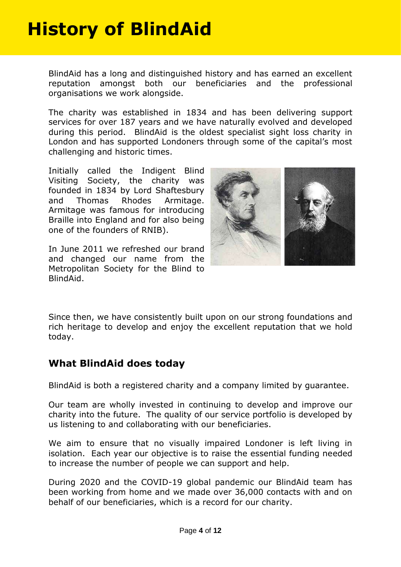# **History of BlindAid**

BlindAid has a long and distinguished history and has earned an excellent reputation amongst both our beneficiaries and the professional organisations we work alongside.

**Who we are** challenging and historic times. The charity was established in 1834 and has been delivering support services for over 187 years and we have naturally evolved and developed during this period. BlindAid is the oldest specialist sight loss charity in London and has supported Londoners through some of the capital's most

> Initially called the Indigent Blind Visiting Society, the charity was founded in 1834 by Lord Shaftesbury and Thomas Rhodes Armitage. Armitage was famous for introducing Braille into England and for also being one of the founders of RNIB).

> In June 2011 we refreshed our brand and changed our name from the Metropolitan Society for the Blind to BlindAid.



Since then, we have consistently built upon on our strong foundations and rich heritage to develop and enjoy the excellent reputation that we hold today.

## **What BlindAid does today**

BlindAid is both a registered charity and a company limited by guarantee.

Our team are wholly invested in continuing to develop and improve our charity into the future. The quality of our service portfolio is developed by us listening to and collaborating with our beneficiaries.

We aim to ensure that no visually impaired Londoner is left living in isolation. Each year our objective is to raise the essential funding needed to increase the number of people we can support and help.

During 2020 and the COVID-19 global pandemic our BlindAid team has been working from home and we made over 36,000 contacts with and on behalf of our beneficiaries, which is a record for our charity.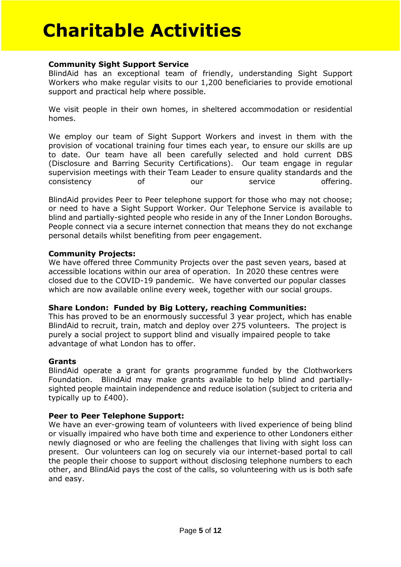## **Community Sight Support Service**

BlindAid has an exceptional team of friendly, understanding Sight Support Workers who make regular visits to our 1,200 beneficiaries to provide emotional support and practical help where possible.

We visit people in their own homes, in sheltered accommodation or residential homes.

We employ our team of Sight Support Workers and invest in them with the provision of vocational training four times each year, to ensure our skills are up to date. Our team have all been carefully selected and hold current DBS (Disclosure and Barring Security Certifications). Our team engage in regular supervision meetings with their Team Leader to ensure quality standards and the consistency of our service offering.

BlindAid provides Peer to Peer telephone support for those who may not choose; or need to have a Sight Support Worker. Our Telephone Service is available to blind and partially-sighted people who reside in any of the Inner London Boroughs. People connect via a secure internet connection that means they do not exchange personal details whilst benefiting from peer engagement.

## **Community Projects:**

We have offered three Community Projects over the past seven years, based at accessible locations within our area of operation. In 2020 these centres were closed due to the COVID-19 pandemic. We have converted our popular classes which are now available online every week, together with our social groups.

## **Share London: Funded by Big Lottery, reaching Communities:**

This has proved to be an enormously successful 3 year project, which has enable BlindAid to recruit, train, match and deploy over 275 volunteers. The project is purely a social project to support blind and visually impaired people to take advantage of what London has to offer.

## **Grants**

BlindAid operate a grant for grants programme funded by the Clothworkers Foundation. BlindAid may make grants available to help blind and partiallysighted people maintain independence and reduce isolation (subject to criteria and typically up to £400).

## **Peer to Peer Telephone Support:**

We have an ever-growing team of volunteers with lived experience of being blind or visually impaired who have both time and experience to other Londoners either newly diagnosed or who are feeling the challenges that living with sight loss can present. Our volunteers can log on securely via our internet-based portal to call the people their choose to support without disclosing telephone numbers to each other, and BlindAid pays the cost of the calls, so volunteering with us is both safe and easy.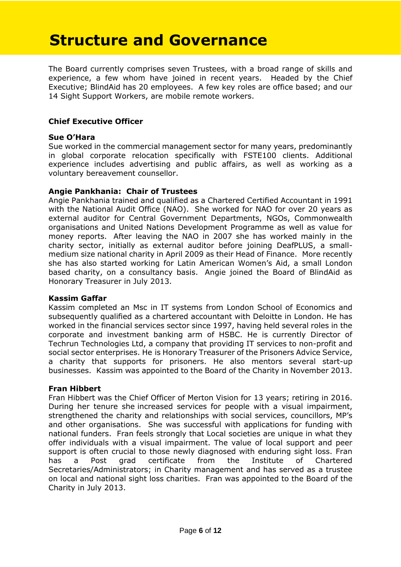## **Structure and Governance**

The Board currently comprises seven Trustees, with a broad range of skills and experience, a few whom have joined in recent years. Headed by the Chief Executive; BlindAid has 20 employees. A few key roles are office based; and our 14 Sight Support Workers, are mobile remote workers.

## **Chief Executive Officer**

## **Sue O'Hara**

Sue worked in the commercial management sector for many years, predominantly in global corporate relocation specifically with FSTE100 clients. Additional experience includes advertising and public affairs, as well as working as a voluntary bereavement counsellor.

## **Angie Pankhania: Chair of Trustees**

Angie Pankhania trained and qualified as a Chartered Certified Accountant in 1991 with the National Audit Office (NAO). She worked for NAO for over 20 years as external auditor for Central Government Departments, NGOs, Commonwealth organisations and United Nations Development Programme as well as value for money reports. After leaving the NAO in 2007 she has worked mainly in the charity sector, initially as external auditor before joining DeafPLUS, a smallmedium size national charity in April 2009 as their Head of Finance. More recently she has also started working for Latin American Women's Aid, a small London based charity, on a consultancy basis. Angie joined the Board of BlindAid as Honorary Treasurer in July 2013.

## **Kassim Gaffar**

Kassim completed an Msc in IT systems from London School of Economics and subsequently qualified as a chartered accountant with Deloitte in London. He has worked in the financial services sector since 1997, having held several roles in the corporate and investment banking arm of HSBC. He is currently Director of Techrun Technologies Ltd, a company that providing IT services to non-profit and social sector enterprises. He is Honorary Treasurer of the Prisoners Advice Service, a charity that supports for prisoners. He also mentors several start-up businesses. Kassim was appointed to the Board of the Charity in November 2013.

## **Fran Hibbert**

Fran Hibbert was the Chief Officer of Merton Vision for 13 years; retiring in 2016. During her tenure she increased services for people with a visual impairment, strengthened the charity and relationships with social services, councillors, MP's and other organisations. She was successful with applications for funding with national funders. Fran feels strongly that Local societies are unique in what they offer individuals with a visual impairment. The value of local support and peer support is often crucial to those newly diagnosed with enduring sight loss. Fran has a Post grad certificate from the Institute of Chartered Secretaries/Administrators; in Charity management and has served as a trustee on local and national sight loss charities. Fran was appointed to the Board of the Charity in July 2013.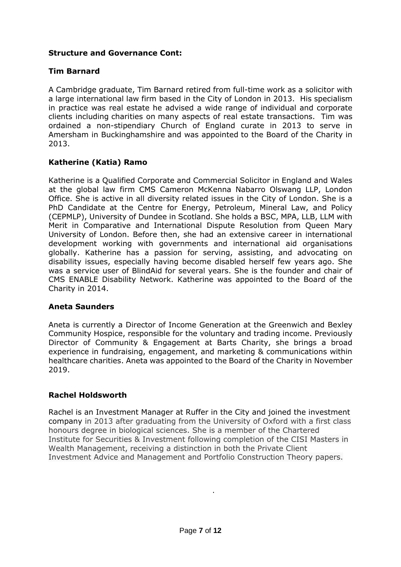## **Structure and Governance Cont:**

## **Tim Barnard**

A Cambridge graduate, Tim Barnard retired from full-time work as a solicitor with a large international law firm based in the City of London in 2013. His specialism in practice was real estate he advised a wide range of individual and corporate clients including charities on many aspects of real estate transactions. Tim was ordained a non-stipendiary Church of England curate in 2013 to serve in Amersham in Buckinghamshire and was appointed to the Board of the Charity in 2013.

## **Katherine (Katia) Ramo**

Katherine is a Qualified Corporate and Commercial Solicitor in England and Wales at the global law firm CMS Cameron McKenna Nabarro Olswang LLP, London Office. She is active in all diversity related issues in the City of London. She is a PhD Candidate at the Centre for Energy, Petroleum, Mineral Law, and Policy (CEPMLP), University of Dundee in Scotland. She holds a BSC, MPA, LLB, LLM with Merit in Comparative and International Dispute Resolution from Queen Mary University of London. Before then, she had an extensive career in international development working with governments and international aid organisations globally. Katherine has a passion for serving, assisting, and advocating on disability issues, especially having become disabled herself few years ago. She was a service user of BlindAid for several years. She is the founder and chair of CMS ENABLE Disability Network. Katherine was appointed to the Board of the Charity in 2014.

## **Aneta Saunders**

Aneta is currently a Director of Income Generation at the Greenwich and Bexley Community Hospice, responsible for the voluntary and trading income. Previously Director of Community & Engagement at Barts Charity, she brings a broad experience in fundraising, engagement, and marketing & communications within healthcare charities. Aneta was appointed to the Board of the Charity in November 2019.

## **Rachel Holdsworth**

Rachel is an Investment Manager at Ruffer in the City and joined the investment company in 2013 after graduating from the University of Oxford with a first class honours degree in biological sciences. She is a member of the Chartered Institute for Securities & Investment following completion of the CISI Masters in Wealth Management, receiving a distinction in both the Private Client Investment Advice and Management and Portfolio Construction Theory papers.

.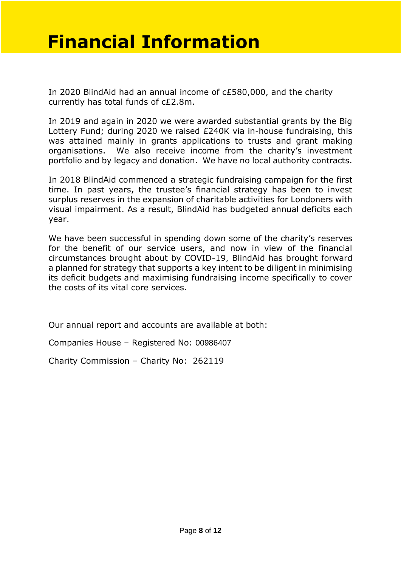## **Financial Information**

In 2020 BlindAid had an annual income of c£580,000, and the charity currently has total funds of c£2.8m.

In 2019 and again in 2020 we were awarded substantial grants by the Big Lottery Fund; during 2020 we raised £240K via in-house fundraising, this was attained mainly in grants applications to trusts and grant making organisations. We also receive income from the charity's investment portfolio and by legacy and donation. We have no local authority contracts.

In 2018 BlindAid commenced a strategic fundraising campaign for the first time. In past years, the trustee's financial strategy has been to invest surplus reserves in the expansion of charitable activities for Londoners with visual impairment. As a result, BlindAid has budgeted annual deficits each year.

We have been successful in spending down some of the charity's reserves for the benefit of our service users, and now in view of the financial circumstances brought about by COVID-19, BlindAid has brought forward a planned for strategy that supports a key intent to be diligent in minimising its deficit budgets and maximising fundraising income specifically to cover the costs of its vital core services.

Our annual report and accounts are available at both:

Companies House – Registered No: 00986407

Charity Commission – Charity No: 262119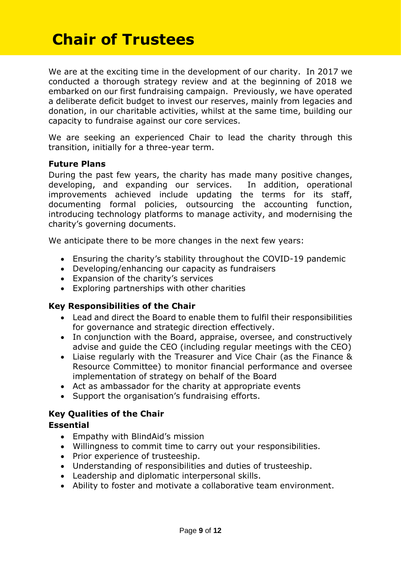## **Chair of Trustees**

We are at the exciting time in the development of our charity. In 2017 we conducted a thorough strategy review and at the beginning of 2018 we embarked on our first fundraising campaign. Previously, we have operated a deliberate deficit budget to invest our reserves, mainly from legacies and donation, in our charitable activities, whilst at the same time, building our capacity to fundraise against our core services.

We are seeking an experienced Chair to lead the charity through this transition, initially for a three-year term.

## **Future Plans**

During the past few years, the charity has made many positive changes, developing, and expanding our services. In addition, operational improvements achieved include updating the terms for its staff, documenting formal policies, outsourcing the accounting function, introducing technology platforms to manage activity, and modernising the charity's governing documents.

We anticipate there to be more changes in the next few years:

- Ensuring the charity's stability throughout the COVID-19 pandemic
- Developing/enhancing our capacity as fundraisers
- Expansion of the charity's services
- Exploring partnerships with other charities

## **Key Responsibilities of the Chair**

- Lead and direct the Board to enable them to fulfil their responsibilities for governance and strategic direction effectively.
- In conjunction with the Board, appraise, oversee, and constructively advise and guide the CEO (including regular meetings with the CEO)
- Liaise regularly with the Treasurer and Vice Chair (as the Finance & Resource Committee) to monitor financial performance and oversee implementation of strategy on behalf of the Board
- Act as ambassador for the charity at appropriate events
- Support the organisation's fundraising efforts.

## **Key Qualities of the Chair**

## **Essential**

- Empathy with BlindAid's mission
- Willingness to commit time to carry out your responsibilities.
- Prior experience of trusteeship.
- Understanding of responsibilities and duties of trusteeship.
- Leadership and diplomatic interpersonal skills.
- Ability to foster and motivate a collaborative team environment.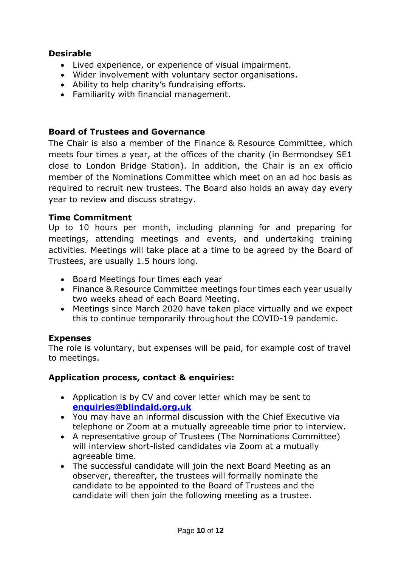## **Desirable**

- Lived experience, or experience of visual impairment.
- Wider involvement with voluntary sector organisations.
- Ability to help charity's fundraising efforts.
- Familiarity with financial management.

## **Board of Trustees and Governance**

The Chair is also a member of the Finance & Resource Committee, which meets four times a year, at the offices of the charity (in Bermondsey SE1 close to London Bridge Station). In addition, the Chair is an ex officio member of the Nominations Committee which meet on an ad hoc basis as required to recruit new trustees. The Board also holds an away day every year to review and discuss strategy.

## **Time Commitment**

Up to 10 hours per month, including planning for and preparing for meetings, attending meetings and events, and undertaking training activities. Meetings will take place at a time to be agreed by the Board of Trustees, are usually 1.5 hours long.

- Board Meetings four times each year
- Finance & Resource Committee meetings four times each year usually two weeks ahead of each Board Meeting.
- Meetings since March 2020 have taken place virtually and we expect this to continue temporarily throughout the COVID-19 pandemic.

## **Expenses**

The role is voluntary, but expenses will be paid, for example cost of travel to meetings.

## **Application process, contact & enquiries:**

- Application is by CV and cover letter which may be sent to **[enquiries@blindaid.org.uk](mailto:enquiries@blindaid.org.uk)**
- You may have an informal discussion with the Chief Executive via telephone or Zoom at a mutually agreeable time prior to interview.
- A representative group of Trustees (The Nominations Committee) will interview short-listed candidates via Zoom at a mutually agreeable time.
- The successful candidate will join the next Board Meeting as an observer, thereafter, the trustees will formally nominate the candidate to be appointed to the Board of Trustees and the candidate will then join the following meeting as a trustee.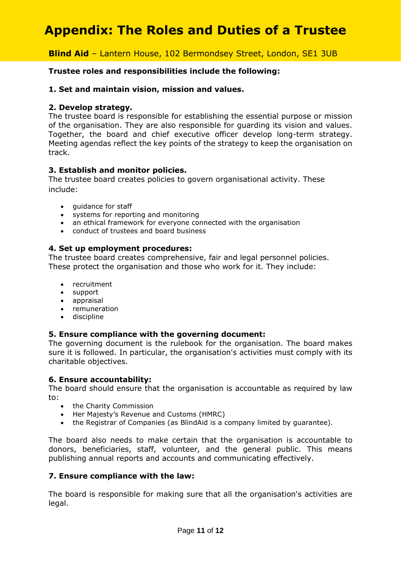## **Appendix: The Roles and Duties of a Trustee**

## **Blind Aid** – Lantern House, 102 Bermondsey Street, London, SE1 3UB

## **Trustee roles and responsibilities include the following:**

## **1. Set and maintain vision, mission and values.**

## **2. Develop strategy.**

The trustee board is responsible for establishing the essential purpose or mission of the organisation. They are also responsible for guarding its vision and values. Together, the board and chief executive officer develop long-term strategy. Meeting agendas reflect the key points of the strategy to keep the organisation on track.

## **3. Establish and monitor policies.**

The trustee board creates policies to govern organisational activity. These include:

- guidance for staff
- systems for reporting and monitoring
- an ethical framework for everyone connected with the organisation
- conduct of trustees and board business

## **4. Set up employment procedures:**

The trustee board creates comprehensive, fair and legal personnel policies. These protect the organisation and those who work for it. They include:

- recruitment
- support
- appraisal
- remuneration
- discipline

## **5. Ensure compliance with the governing document:**

The governing document is the rulebook for the organisation. The board makes sure it is followed. In particular, the organisation's activities must comply with its charitable objectives.

## **6. Ensure accountability:**

The board should ensure that the organisation is accountable as required by law to:

- the Charity Commission
- Her Majesty's Revenue and Customs (HMRC)
- the Registrar of Companies (as BlindAid is a company limited by guarantee).

The board also needs to make certain that the organisation is accountable to donors, beneficiaries, staff, volunteer, and the general public. This means publishing annual reports and accounts and communicating effectively.

## **7. Ensure compliance with the law:**

The board is responsible for making sure that all the organisation's activities are legal.